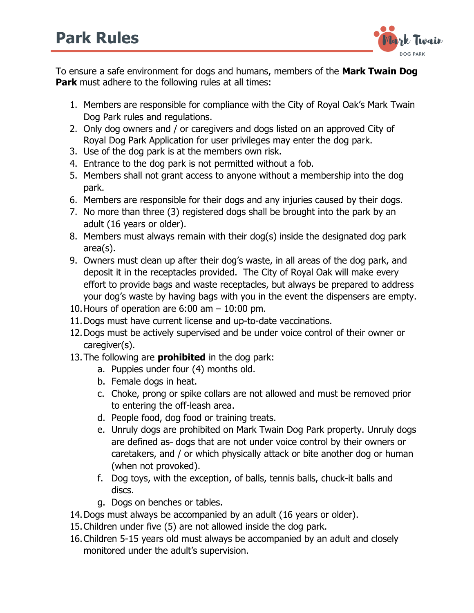

To ensure a safe environment for dogs and humans, members of the **Mark Twain Dog Park** must adhere to the following rules at all times:

- 1. Members are responsible for compliance with the City of Royal Oak's Mark Twain Dog Park rules and regulations.
- 2. Only dog owners and / or caregivers and dogs listed on an approved City of Royal Dog Park Application for user privileges may enter the dog park.
- 3. Use of the dog park is at the members own risk.
- 4. Entrance to the dog park is not permitted without a fob.
- 5. Members shall not grant access to anyone without a membership into the dog park.
- 6. Members are responsible for their dogs and any injuries caused by their dogs.
- 7. No more than three (3) registered dogs shall be brought into the park by an adult (16 years or older).
- 8. Members must always remain with their dog(s) inside the designated dog park area(s).
- 9. Owners must clean up after their dog's waste, in all areas of the dog park, and deposit it in the receptacles provided. The City of Royal Oak will make every effort to provide bags and waste receptacles, but always be prepared to address your dog's waste by having bags with you in the event the dispensers are empty.
- 10. Hours of operation are  $6:00$  am  $-10:00$  pm.
- 11.Dogs must have current license and up-to-date vaccinations.
- 12.Dogs must be actively supervised and be under voice control of their owner or caregiver(s).
- 13.The following are **prohibited** in the dog park:
	- a. Puppies under four (4) months old.
	- b. Female dogs in heat.
	- c. Choke, prong or spike collars are not allowed and must be removed prior to entering the off-leash area.
	- d. People food, dog food or training treats.
	- e. Unruly dogs are prohibited on Mark Twain Dog Park property. Unruly dogs are defined as dogs that are not under voice control by their owners or caretakers, and / or which physically attack or bite another dog or human (when not provoked).
	- f. Dog toys, with the exception, of balls, tennis balls, chuck-it balls and discs.
	- g. Dogs on benches or tables.
- 14.Dogs must always be accompanied by an adult (16 years or older).
- 15.Children under five (5) are not allowed inside the dog park.
- 16.Children 5-15 years old must always be accompanied by an adult and closely monitored under the adult's supervision.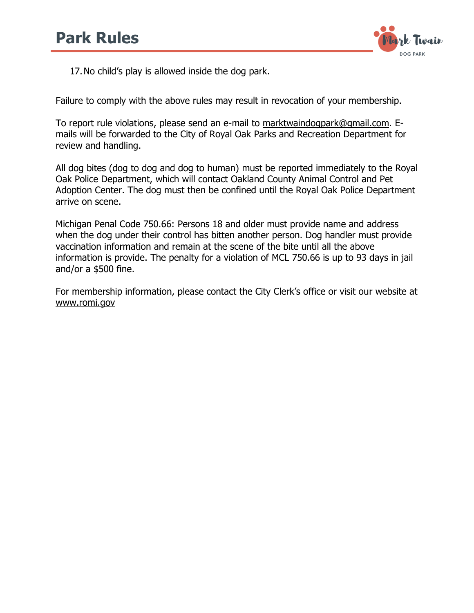

17.No child's play is allowed inside the dog park.

Failure to comply with the above rules may result in revocation of your membership.

To report rule violations, please send an e-mail to [marktwaindogpark@gmail.com.](mailto:marktwaindogpark@gmail.com) Emails will be forwarded to the City of Royal Oak Parks and Recreation Department for review and handling.

All dog bites (dog to dog and dog to human) must be reported immediately to the Royal Oak Police Department, which will contact Oakland County Animal Control and Pet Adoption Center. The dog must then be confined until the Royal Oak Police Department arrive on scene.

Michigan Penal Code 750.66: Persons 18 and older must provide name and address when the dog under their control has bitten another person. Dog handler must provide vaccination information and remain at the scene of the bite until all the above information is provide. The penalty for a violation of MCL 750.66 is up to 93 days in jail and/or a \$500 fine.

For membership information, please contact the City Clerk's office or visit our website at www.romi.gov